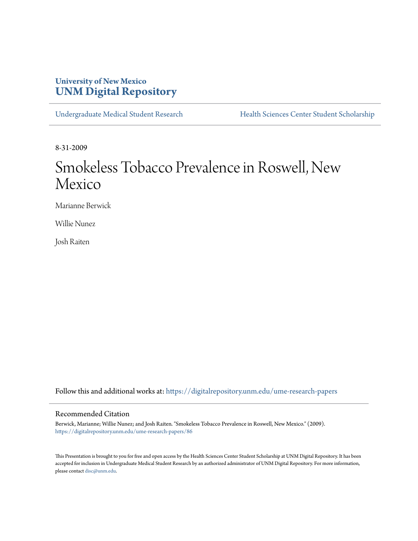# **University of New Mexico [UNM Digital Repository](https://digitalrepository.unm.edu?utm_source=digitalrepository.unm.edu%2Fume-research-papers%2F86&utm_medium=PDF&utm_campaign=PDFCoverPages)**

[Undergraduate Medical Student Research](https://digitalrepository.unm.edu/ume-research-papers?utm_source=digitalrepository.unm.edu%2Fume-research-papers%2F86&utm_medium=PDF&utm_campaign=PDFCoverPages) [Health Sciences Center Student Scholarship](https://digitalrepository.unm.edu/hsc-students?utm_source=digitalrepository.unm.edu%2Fume-research-papers%2F86&utm_medium=PDF&utm_campaign=PDFCoverPages)

8-31-2009

# Smokeless Tobacco Prevalence in Roswell, New Mexico

Marianne Berwick

Willie Nunez

Josh Raiten

Follow this and additional works at: [https://digitalrepository.unm.edu/ume-research-papers](https://digitalrepository.unm.edu/ume-research-papers?utm_source=digitalrepository.unm.edu%2Fume-research-papers%2F86&utm_medium=PDF&utm_campaign=PDFCoverPages)

## Recommended Citation

Berwick, Marianne; Willie Nunez; and Josh Raiten. "Smokeless Tobacco Prevalence in Roswell, New Mexico." (2009). [https://digitalrepository.unm.edu/ume-research-papers/86](https://digitalrepository.unm.edu/ume-research-papers/86?utm_source=digitalrepository.unm.edu%2Fume-research-papers%2F86&utm_medium=PDF&utm_campaign=PDFCoverPages)

This Presentation is brought to you for free and open access by the Health Sciences Center Student Scholarship at UNM Digital Repository. It has been accepted for inclusion in Undergraduate Medical Student Research by an authorized administrator of UNM Digital Repository. For more information, please contact [disc@unm.edu.](mailto:disc@unm.edu)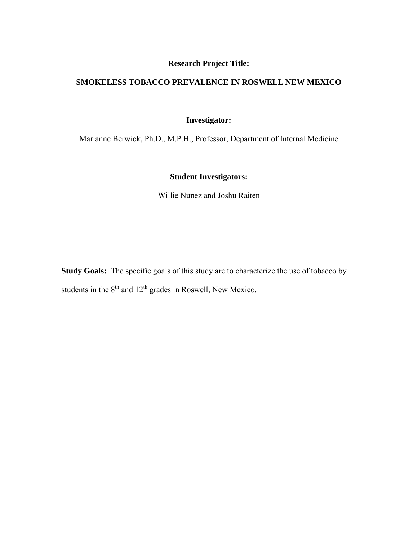# **Research Project Title:**

# **SMOKELESS TOBACCO PREVALENCE IN ROSWELL NEW MEXICO**

# **Investigator:**

Marianne Berwick, Ph.D., M.P.H., Professor, Department of Internal Medicine

# **Student Investigators:**

Willie Nunez and Joshu Raiten

**Study Goals:** The specific goals of this study are to characterize the use of tobacco by students in the  $8<sup>th</sup>$  and  $12<sup>th</sup>$  grades in Roswell, New Mexico.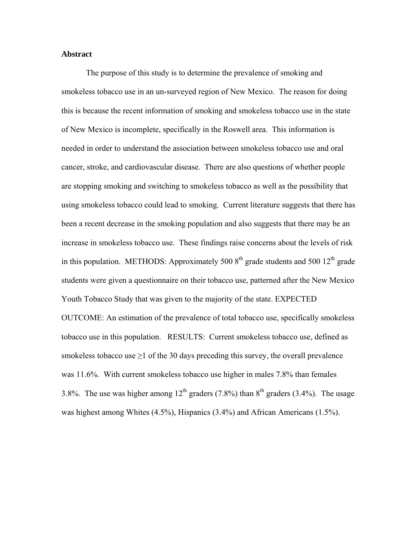#### **Abstract**

The purpose of this study is to determine the prevalence of smoking and smokeless tobacco use in an un-surveyed region of New Mexico. The reason for doing this is because the recent information of smoking and smokeless tobacco use in the state of New Mexico is incomplete, specifically in the Roswell area. This information is needed in order to understand the association between smokeless tobacco use and oral cancer, stroke, and cardiovascular disease. There are also questions of whether people are stopping smoking and switching to smokeless tobacco as well as the possibility that using smokeless tobacco could lead to smoking. Current literature suggests that there has been a recent decrease in the smoking population and also suggests that there may be an increase in smokeless tobacco use. These findings raise concerns about the levels of risk in this population. METHODS: Approximately 500  $8<sup>th</sup>$  grade students and 500  $12<sup>th</sup>$  grade students were given a questionnaire on their tobacco use, patterned after the New Mexico Youth Tobacco Study that was given to the majority of the state. EXPECTED OUTCOME: An estimation of the prevalence of total tobacco use, specifically smokeless tobacco use in this population. RESULTS: Current smokeless tobacco use, defined as smokeless tobacco use  $\geq 1$  of the 30 days preceding this survey, the overall prevalence was 11.6%. With current smokeless tobacco use higher in males 7.8% than females 3.8%. The use was higher among  $12<sup>th</sup>$  graders (7.8%) than  $8<sup>th</sup>$  graders (3.4%). The usage was highest among Whites (4.5%), Hispanics (3.4%) and African Americans (1.5%).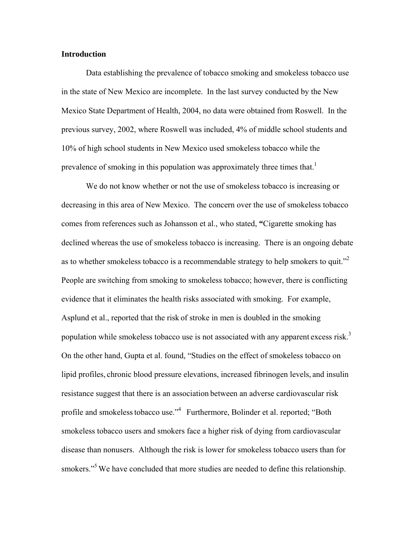#### **Introduction**

Data establishing the prevalence of tobacco smoking and smokeless tobacco use in the state of New Mexico are incomplete. In the last survey conducted by the New Mexico State Department of Health, 2004, no data were obtained from Roswell. In the previous survey, 2002, where Roswell was included, 4% of middle school students and 10% of high school students in New Mexico used smokeless tobacco while the prevalence of smoking in this population was approximately three times that.<sup>1</sup>

We do not know whether or not the use of smokeless tobacco is increasing or decreasing in this area of New Mexico. The concern over the use of smokeless tobacco comes from references such as Johansson et al., who stated, **"**Cigarette smoking has declined whereas the use of smokeless tobacco is increasing. There is an ongoing debate as to whether smokeless tobacco is a recommendable strategy to help smokers to quit.<sup> $2$ </sup> People are switching from smoking to smokeless tobacco; however, there is conflicting evidence that it eliminates the health risks associated with smoking. For example, Asplund et al., reported that the risk of stroke in men is doubled in the smoking population while smokeless tobacco use is not associated with any apparent excess risk.<sup>3</sup> On the other hand, Gupta et al. found, "Studies on the effect of smokeless tobacco on lipid profiles, chronic blood pressure elevations, increased fibrinogen levels, and insulin resistance suggest that there is an association between an adverse cardiovascular risk profile and smokelesstobacco use."4 Furthermore, Bolinder et al. reported; "Both smokeless tobacco users and smokers face a higher risk of dying from cardiovascular disease than nonusers. Although the risk is lower for smokeless tobacco users than for smokers."<sup>5</sup> We have concluded that more studies are needed to define this relationship.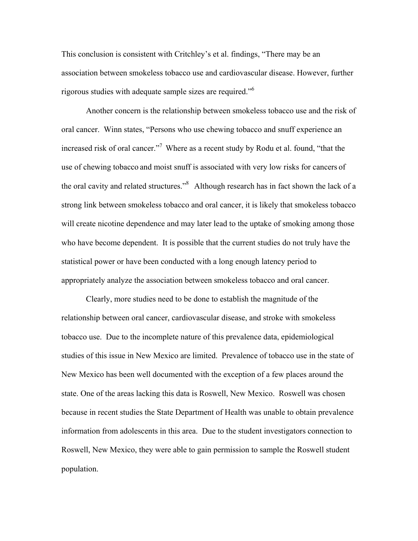This conclusion is consistent with Critchley's et al. findings, "There may be an association between smokeless tobacco use and cardiovascular disease. However, further rigorous studies with adequate sample sizes are required."6

Another concern is the relationship between smokeless tobacco use and the risk of oral cancer. Winn states, "Persons who use chewing tobacco and snuff experience an increased risk of oral cancer."<sup>7</sup> Where as a recent study by Rodu et al. found, "that the use of chewing tobacco and moist snuff is associated with very low risks for cancers of the oral cavity and related structures."<sup>8</sup> Although research has in fact shown the lack of a strong link between smokeless tobacco and oral cancer, it is likely that smokeless tobacco will create nicotine dependence and may later lead to the uptake of smoking among those who have become dependent. It is possible that the current studies do not truly have the statistical power or have been conducted with a long enough latency period to appropriately analyze the association between smokeless tobacco and oral cancer.

Clearly, more studies need to be done to establish the magnitude of the relationship between oral cancer, cardiovascular disease, and stroke with smokeless tobacco use. Due to the incomplete nature of this prevalence data, epidemiological studies of this issue in New Mexico are limited. Prevalence of tobacco use in the state of New Mexico has been well documented with the exception of a few places around the state. One of the areas lacking this data is Roswell, New Mexico. Roswell was chosen because in recent studies the State Department of Health was unable to obtain prevalence information from adolescents in this area. Due to the student investigators connection to Roswell, New Mexico, they were able to gain permission to sample the Roswell student population.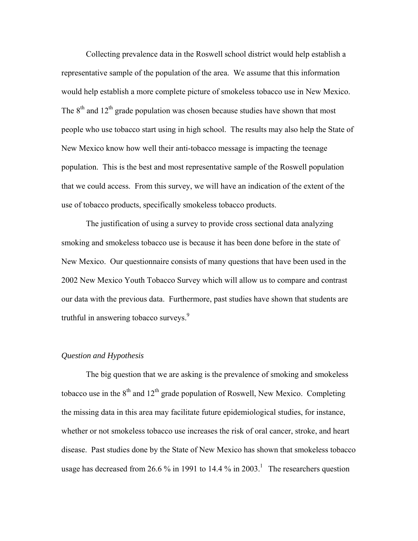Collecting prevalence data in the Roswell school district would help establish a representative sample of the population of the area. We assume that this information would help establish a more complete picture of smokeless tobacco use in New Mexico. The  $8<sup>th</sup>$  and  $12<sup>th</sup>$  grade population was chosen because studies have shown that most people who use tobacco start using in high school. The results may also help the State of New Mexico know how well their anti-tobacco message is impacting the teenage population. This is the best and most representative sample of the Roswell population that we could access. From this survey, we will have an indication of the extent of the use of tobacco products, specifically smokeless tobacco products.

The justification of using a survey to provide cross sectional data analyzing smoking and smokeless tobacco use is because it has been done before in the state of New Mexico. Our questionnaire consists of many questions that have been used in the 2002 New Mexico Youth Tobacco Survey which will allow us to compare and contrast our data with the previous data. Furthermore, past studies have shown that students are truthful in answering tobacco surveys.<sup>9</sup>

#### *Question and Hypothesis*

The big question that we are asking is the prevalence of smoking and smokeless tobacco use in the  $8<sup>th</sup>$  and  $12<sup>th</sup>$  grade population of Roswell, New Mexico. Completing the missing data in this area may facilitate future epidemiological studies, for instance, whether or not smokeless tobacco use increases the risk of oral cancer, stroke, and heart disease. Past studies done by the State of New Mexico has shown that smokeless tobacco usage has decreased from 26.6 % in 1991 to 14.4 % in 2003.<sup>1</sup> The researchers question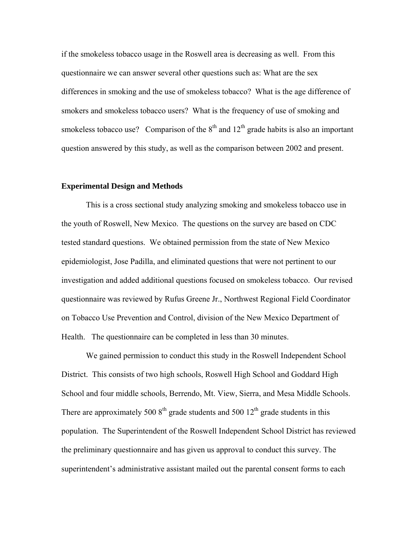if the smokeless tobacco usage in the Roswell area is decreasing as well. From this questionnaire we can answer several other questions such as: What are the sex differences in smoking and the use of smokeless tobacco? What is the age difference of smokers and smokeless tobacco users? What is the frequency of use of smoking and smokeless tobacco use? Comparison of the  $8<sup>th</sup>$  and  $12<sup>th</sup>$  grade habits is also an important question answered by this study, as well as the comparison between 2002 and present.

#### **Experimental Design and Methods**

This is a cross sectional study analyzing smoking and smokeless tobacco use in the youth of Roswell, New Mexico. The questions on the survey are based on CDC tested standard questions. We obtained permission from the state of New Mexico epidemiologist, Jose Padilla, and eliminated questions that were not pertinent to our investigation and added additional questions focused on smokeless tobacco. Our revised questionnaire was reviewed by Rufus Greene Jr., Northwest Regional Field Coordinator on Tobacco Use Prevention and Control, division of the New Mexico Department of Health. The questionnaire can be completed in less than 30 minutes.

We gained permission to conduct this study in the Roswell Independent School District. This consists of two high schools, Roswell High School and Goddard High School and four middle schools, Berrendo, Mt. View, Sierra, and Mesa Middle Schools. There are approximately 500  $8<sup>th</sup>$  grade students and 500  $12<sup>th</sup>$  grade students in this population. The Superintendent of the Roswell Independent School District has reviewed the preliminary questionnaire and has given us approval to conduct this survey. The superintendent's administrative assistant mailed out the parental consent forms to each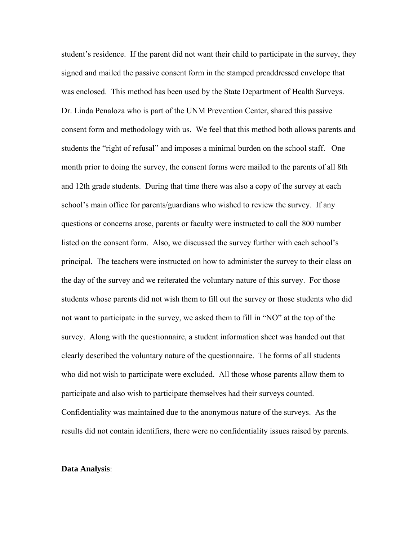student's residence. If the parent did not want their child to participate in the survey, they signed and mailed the passive consent form in the stamped preaddressed envelope that was enclosed. This method has been used by the State Department of Health Surveys. Dr. Linda Penaloza who is part of the UNM Prevention Center, shared this passive consent form and methodology with us. We feel that this method both allows parents and students the "right of refusal" and imposes a minimal burden on the school staff. One month prior to doing the survey, the consent forms were mailed to the parents of all 8th and 12th grade students. During that time there was also a copy of the survey at each school's main office for parents/guardians who wished to review the survey. If any questions or concerns arose, parents or faculty were instructed to call the 800 number listed on the consent form. Also, we discussed the survey further with each school's principal. The teachers were instructed on how to administer the survey to their class on the day of the survey and we reiterated the voluntary nature of this survey. For those students whose parents did not wish them to fill out the survey or those students who did not want to participate in the survey, we asked them to fill in "NO" at the top of the survey. Along with the questionnaire, a student information sheet was handed out that clearly described the voluntary nature of the questionnaire. The forms of all students who did not wish to participate were excluded. All those whose parents allow them to participate and also wish to participate themselves had their surveys counted. Confidentiality was maintained due to the anonymous nature of the surveys. As the results did not contain identifiers, there were no confidentiality issues raised by parents.

#### **Data Analysis**: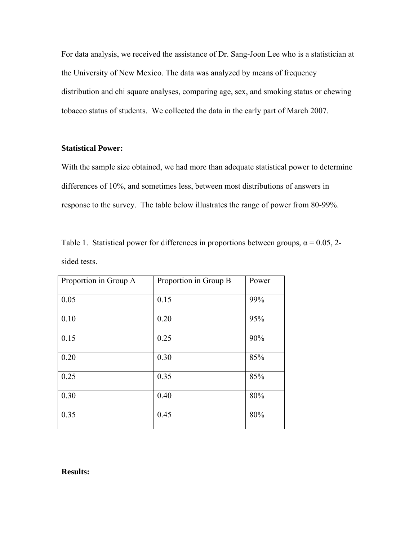For data analysis, we received the assistance of Dr. Sang-Joon Lee who is a statistician at the University of New Mexico. The data was analyzed by means of frequency distribution and chi square analyses, comparing age, sex, and smoking status or chewing tobacco status of students. We collected the data in the early part of March 2007.

## **Statistical Power:**

With the sample size obtained, we had more than adequate statistical power to determine differences of 10%, and sometimes less, between most distributions of answers in response to the survey. The table below illustrates the range of power from 80-99%.

|              |  | Table 1. Statistical power for differences in proportions between groups, $\alpha = 0.05$ , 2- |  |  |
|--------------|--|------------------------------------------------------------------------------------------------|--|--|
| sided tests. |  |                                                                                                |  |  |

| Proportion in Group A | Proportion in Group B | Power |
|-----------------------|-----------------------|-------|
| 0.05                  | 0.15                  | 99%   |
| 0.10                  | 0.20                  | 95%   |
| 0.15                  | 0.25                  | 90%   |
| 0.20                  | 0.30                  | 85%   |
| 0.25                  | 0.35                  | 85%   |
| 0.30                  | 0.40                  | 80%   |
| 0.35                  | 0.45                  | 80%   |

#### **Results:**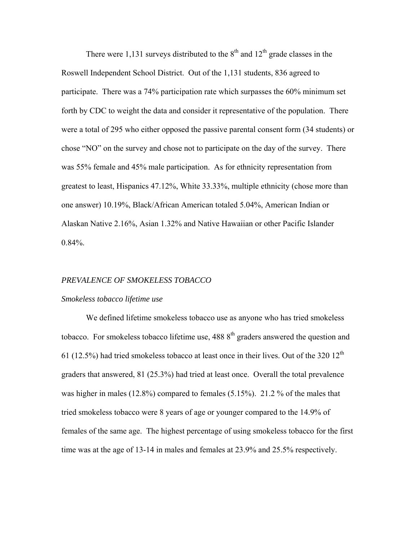There were 1,131 surveys distributed to the  $8<sup>th</sup>$  and  $12<sup>th</sup>$  grade classes in the Roswell Independent School District. Out of the 1,131 students, 836 agreed to participate. There was a 74% participation rate which surpasses the 60% minimum set forth by CDC to weight the data and consider it representative of the population. There were a total of 295 who either opposed the passive parental consent form (34 students) or chose "NO" on the survey and chose not to participate on the day of the survey. There was 55% female and 45% male participation. As for ethnicity representation from greatest to least, Hispanics 47.12%, White 33.33%, multiple ethnicity (chose more than one answer) 10.19%, Black/African American totaled 5.04%, American Indian or Alaskan Native 2.16%, Asian 1.32% and Native Hawaiian or other Pacific Islander 0.84%.

#### *PREVALENCE OF SMOKELESS TOBACCO*

#### *Smokeless tobacco lifetime use*

We defined lifetime smokeless tobacco use as anyone who has tried smokeless tobacco. For smokeless tobacco lifetime use,  $4888^{th}$  graders answered the question and 61 (12.5%) had tried smokeless tobacco at least once in their lives. Out of the 320  $12<sup>th</sup>$ graders that answered, 81 (25.3%) had tried at least once. Overall the total prevalence was higher in males (12.8%) compared to females (5.15%). 21.2 % of the males that tried smokeless tobacco were 8 years of age or younger compared to the 14.9% of females of the same age. The highest percentage of using smokeless tobacco for the first time was at the age of 13-14 in males and females at 23.9% and 25.5% respectively.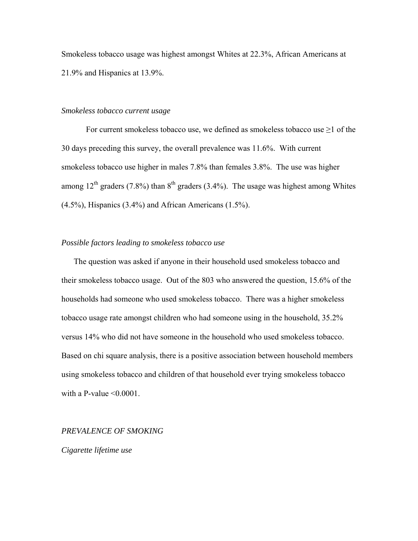Smokeless tobacco usage was highest amongst Whites at 22.3%, African Americans at 21.9% and Hispanics at 13.9%.

#### *Smokeless tobacco current usage*

For current smokeless tobacco use, we defined as smokeless tobacco use  $\geq 1$  of the 30 days preceding this survey, the overall prevalence was 11.6%. With current smokeless tobacco use higher in males 7.8% than females 3.8%. The use was higher among  $12^{th}$  graders (7.8%) than  $8^{th}$  graders (3.4%). The usage was highest among Whites (4.5%), Hispanics (3.4%) and African Americans (1.5%).

#### *Possible factors leading to smokeless tobacco use*

The question was asked if anyone in their household used smokeless tobacco and their smokeless tobacco usage. Out of the 803 who answered the question, 15.6% of the households had someone who used smokeless tobacco. There was a higher smokeless tobacco usage rate amongst children who had someone using in the household, 35.2% versus 14% who did not have someone in the household who used smokeless tobacco. Based on chi square analysis, there is a positive association between household members using smokeless tobacco and children of that household ever trying smokeless tobacco with a P-value  $\leq 0.0001$ .

#### *PREVALENCE OF SMOKING*

*Cigarette lifetime use*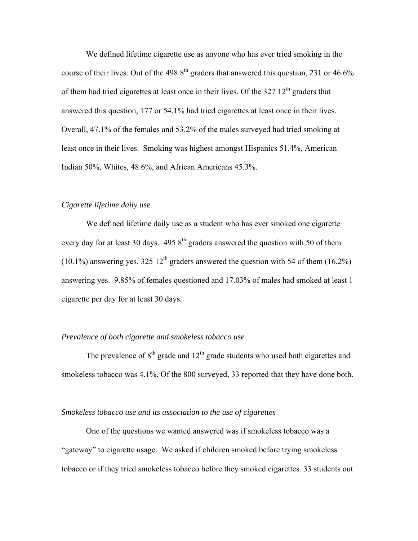We defined lifetime cigarette use as anyone who has ever tried smoking in the course of their lives. Out of the 498  $8<sup>th</sup>$  graders that answered this question, 231 or 46.6% of them had tried cigarettes at least once in their lives. Of the  $327 \frac{12^{th}}{2}$  graders that answered this question, 177 or 54.1% had tried cigarettes at least once in their lives. Overall, 47.1% of the females and 53.2% of the males surveyed had tried smoking at least once in their lives. Smoking was highest amongst Hispanics 51.4%, American Indian 50%, Whites, 48.6%, and African Americans 45.3%.

#### *Cigarette lifetime daily use*

 We defined lifetime daily use as a student who has ever smoked one cigarette every day for at least 30 days.  $4958<sup>th</sup>$  graders answered the question with 50 of them (10.1%) answering yes. 325 12<sup>th</sup> graders answered the question with 54 of them (16.2%) answering yes. 9.85% of females questioned and 17.03% of males had smoked at least 1 cigarette per day for at least 30 days.

#### *Prevalence of both cigarette and smokeless tobacco use*

The prevalence of  $8<sup>th</sup>$  grade and  $12<sup>th</sup>$  grade students who used both cigarettes and smokeless tobacco was 4.1%. Of the 800 surveyed, 33 reported that they have done both.

#### *Smokeless tobacco use and its association to the use of cigarettes*

 One of the questions we wanted answered was if smokeless tobacco was a "gateway" to cigarette usage. We asked if children smoked before trying smokeless tobacco or if they tried smokeless tobacco before they smoked cigarettes. 33 students out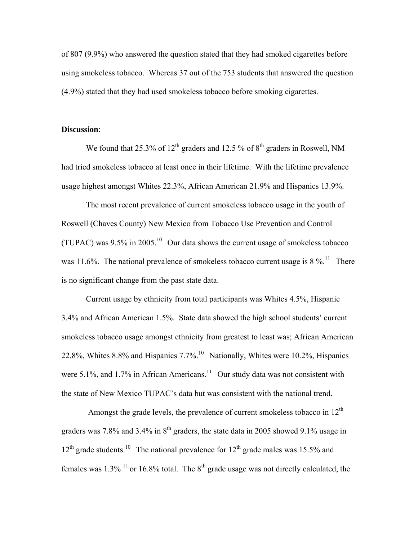of 807 (9.9%) who answered the question stated that they had smoked cigarettes before using smokeless tobacco. Whereas 37 out of the 753 students that answered the question (4.9%) stated that they had used smokeless tobacco before smoking cigarettes.

#### **Discussion**:

We found that 25.3% of  $12<sup>th</sup>$  graders and 12.5 % of  $8<sup>th</sup>$  graders in Roswell, NM had tried smokeless tobacco at least once in their lifetime. With the lifetime prevalence usage highest amongst Whites 22.3%, African American 21.9% and Hispanics 13.9%.

The most recent prevalence of current smokeless tobacco usage in the youth of Roswell (Chaves County) New Mexico from Tobacco Use Prevention and Control (TUPAC) was  $9.5\%$  in 2005.<sup>10</sup> Our data shows the current usage of smokeless tobacco was 11.6%. The national prevalence of smokeless tobacco current usage is  $8\%$ <sup>11</sup>. There is no significant change from the past state data.

Current usage by ethnicity from total participants was Whites 4.5%, Hispanic 3.4% and African American 1.5%. State data showed the high school students' current smokeless tobacco usage amongst ethnicity from greatest to least was; African American 22.8%, Whites 8.8% and Hispanics  $7.7\%$ .<sup>10</sup> Nationally, Whites were 10.2%, Hispanics were  $5.1\%$ , and  $1.7\%$  in African Americans.<sup>11</sup> Our study data was not consistent with the state of New Mexico TUPAC's data but was consistent with the national trend.

Amongst the grade levels, the prevalence of current smokeless tobacco in  $12<sup>th</sup>$ graders was 7.8% and 3.4% in  $8<sup>th</sup>$  graders, the state data in 2005 showed 9.1% usage in  $12<sup>th</sup>$  grade students.<sup>10</sup> The national prevalence for  $12<sup>th</sup>$  grade males was 15.5% and females was  $1.3\%$  <sup>11</sup> or 16.8% total. The  $8<sup>th</sup>$  grade usage was not directly calculated, the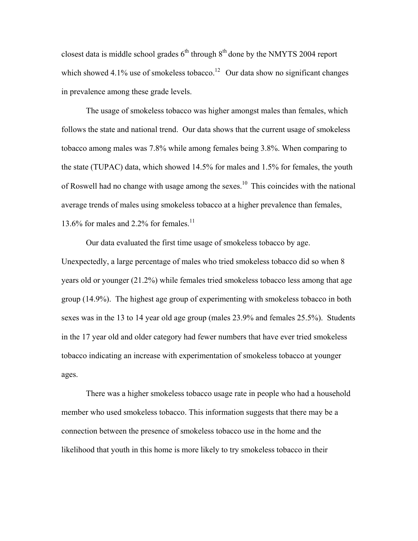closest data is middle school grades  $6<sup>th</sup>$  through  $8<sup>th</sup>$  done by the NMYTS 2004 report which showed 4.1% use of smokeless tobacco.<sup>12</sup> Our data show no significant changes in prevalence among these grade levels.

The usage of smokeless tobacco was higher amongst males than females, which follows the state and national trend. Our data shows that the current usage of smokeless tobacco among males was 7.8% while among females being 3.8%. When comparing to the state (TUPAC) data, which showed 14.5% for males and 1.5% for females, the youth of Roswell had no change with usage among the sexes.<sup>10</sup> This coincides with the national average trends of males using smokeless tobacco at a higher prevalence than females, 13.6% for males and 2.2% for females.<sup>11</sup>

Our data evaluated the first time usage of smokeless tobacco by age. Unexpectedly, a large percentage of males who tried smokeless tobacco did so when 8 years old or younger (21.2%) while females tried smokeless tobacco less among that age group (14.9%). The highest age group of experimenting with smokeless tobacco in both sexes was in the 13 to 14 year old age group (males 23.9% and females 25.5%). Students in the 17 year old and older category had fewer numbers that have ever tried smokeless tobacco indicating an increase with experimentation of smokeless tobacco at younger ages.

There was a higher smokeless tobacco usage rate in people who had a household member who used smokeless tobacco. This information suggests that there may be a connection between the presence of smokeless tobacco use in the home and the likelihood that youth in this home is more likely to try smokeless tobacco in their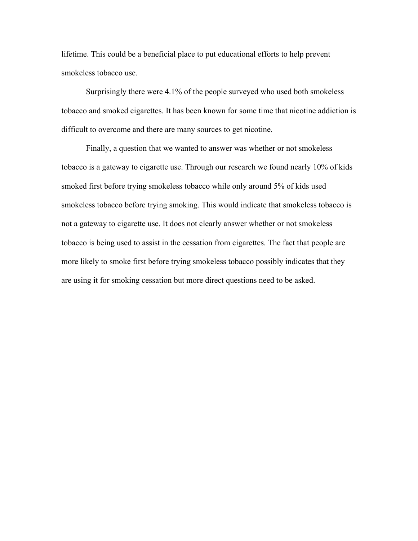lifetime. This could be a beneficial place to put educational efforts to help prevent smokeless tobacco use.

Surprisingly there were 4.1% of the people surveyed who used both smokeless tobacco and smoked cigarettes. It has been known for some time that nicotine addiction is difficult to overcome and there are many sources to get nicotine.

Finally, a question that we wanted to answer was whether or not smokeless tobacco is a gateway to cigarette use. Through our research we found nearly 10% of kids smoked first before trying smokeless tobacco while only around 5% of kids used smokeless tobacco before trying smoking. This would indicate that smokeless tobacco is not a gateway to cigarette use. It does not clearly answer whether or not smokeless tobacco is being used to assist in the cessation from cigarettes. The fact that people are more likely to smoke first before trying smokeless tobacco possibly indicates that they are using it for smoking cessation but more direct questions need to be asked.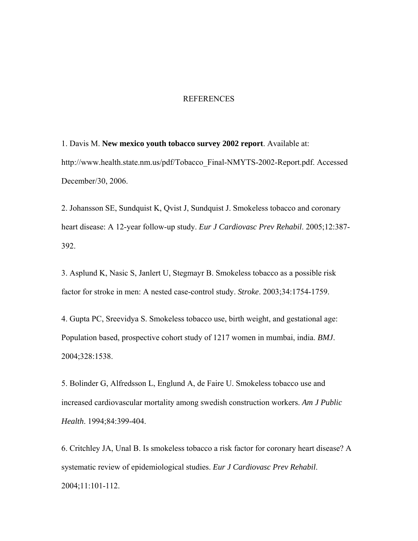#### **REFERENCES**

1. Davis M. **New mexico youth tobacco survey 2002 report**. Available at: http://www.health.state.nm.us/pdf/Tobacco\_Final-NMYTS-2002-Report.pdf. Accessed December/30, 2006.

2. Johansson SE, Sundquist K, Qvist J, Sundquist J. Smokeless tobacco and coronary heart disease: A 12-year follow-up study. *Eur J Cardiovasc Prev Rehabil*. 2005;12:387- 392.

3. Asplund K, Nasic S, Janlert U, Stegmayr B. Smokeless tobacco as a possible risk factor for stroke in men: A nested case-control study. *Stroke*. 2003;34:1754-1759.

4. Gupta PC, Sreevidya S. Smokeless tobacco use, birth weight, and gestational age: Population based, prospective cohort study of 1217 women in mumbai, india. *BMJ*. 2004;328:1538.

5. Bolinder G, Alfredsson L, Englund A, de Faire U. Smokeless tobacco use and increased cardiovascular mortality among swedish construction workers. *Am J Public Health*. 1994;84:399-404.

6. Critchley JA, Unal B. Is smokeless tobacco a risk factor for coronary heart disease? A systematic review of epidemiological studies. *Eur J Cardiovasc Prev Rehabil*. 2004;11:101-112.